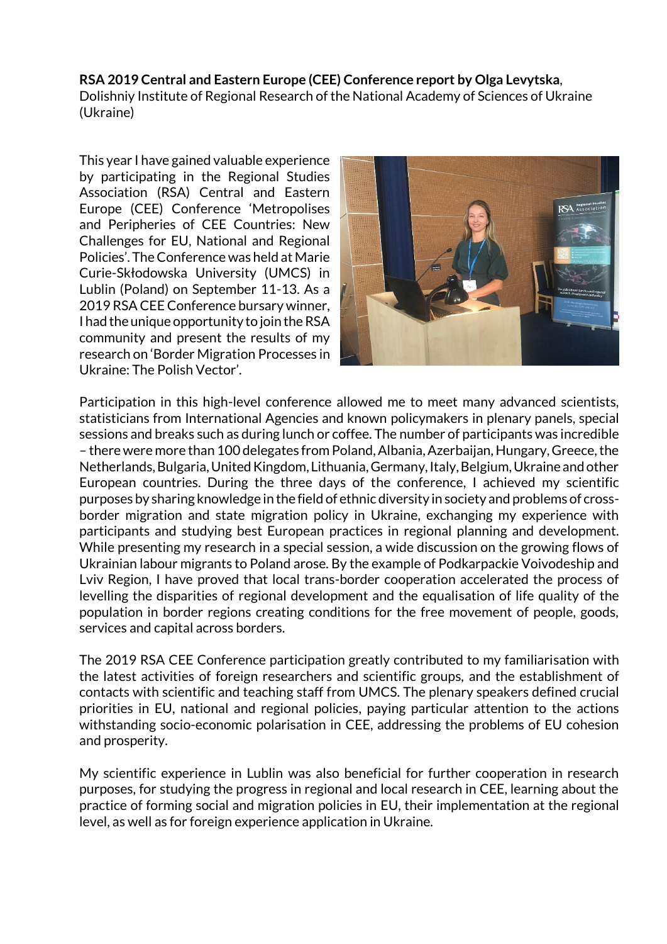## **RSA 2019 Central and Eastern Europe (CEE) Conference report by Olga Levytska**,

Dolishniy Institute of Regional Research of the National Academy of Sciences of Ukraine (Ukraine)

This year I have gained valuable experience by participating in the Regional Studies Association (RSA) Central and Eastern Europe (CEE) Conference 'Metropolises and Peripheries of CEE Countries: New Challenges for EU, National and Regional Policies'. The Conference was held at Marie Curie-Skłodowska University (UMCS) in Lublin (Poland) on September 11-13. As a 2019 RSA CEE Conference bursary winner, I had the unique opportunity to join the RSA community and present the results of my research on 'Border Migration Processes in Ukraine: The Polish Vector'.



Participation in this high-level conference allowed me to meet many advanced scientists, statisticians from International Agencies and known policymakers in plenary panels, special sessions and breaks such as during lunch or coffee. The number of participants was incredible – there were more than 100 delegates from Poland, Albania, Azerbaijan, Hungary, Greece, the Netherlands, Bulgaria, United Kingdom, Lithuania, Germany, Italy, Belgium, Ukraine and other European countries. During the three days of the conference, I achieved my scientific purposes by sharing knowledge in the field of ethnic diversity in society and problems of crossborder migration and state migration policy in Ukraine, exchanging my experience with participants and studying best European practices in regional planning and development. While presenting my research in a special session, a wide discussion on the growing flows of Ukrainian labour migrants to Poland arose. By the example of Podkarpackie Voivodeship and Lviv Region, I have proved that local trans-border cooperation accelerated the process of levelling the disparities of regional development and the equalisation of life quality of the population in border regions creating conditions for the free movement of people, goods, services and capital across borders.

The 2019 RSA CEE Conference participation greatly contributed to my familiarisation with the latest activities of foreign researchers and scientific groups, and the establishment of contacts with scientific and teaching staff from UMCS. The plenary speakers defined crucial priorities in EU, national and regional policies, paying particular attention to the actions withstanding socio-economic polarisation in CEE, addressing the problems of EU cohesion and prosperity.

My scientific experience in Lublin was also beneficial for further cooperation in research purposes, for studying the progress in regional and local research in CEE, learning about the practice of forming social and migration policies in EU, their implementation at the regional level, as well as for foreign experience application in Ukraine.